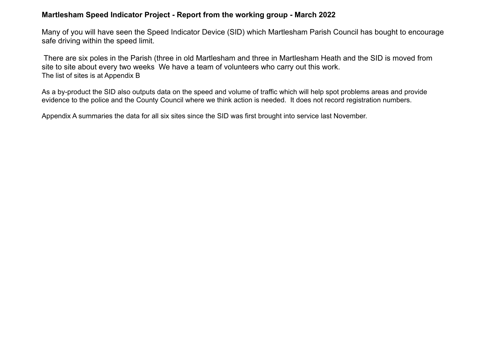# **Martlesham Speed Indicator Project - Report from the working group - March 2022**

Many of you will have seen the Speed Indicator Device (SID) which Martlesham Parish Council has bought to encourage safe driving within the speed limit.

 There are six poles in the Parish (three in old Martlesham and three in Martlesham Heath and the SID is moved from site to site about every two weeks We have a team of volunteers who carry out this work. The list of sites is at Appendix B

As a by-product the SID also outputs data on the speed and volume of traffic which will help spot problems areas and provide evidence to the police and the County Council where we think action is needed. It does not record registration numbers.

Appendix A summaries the data for all six sites since the SID was first brought into service last November.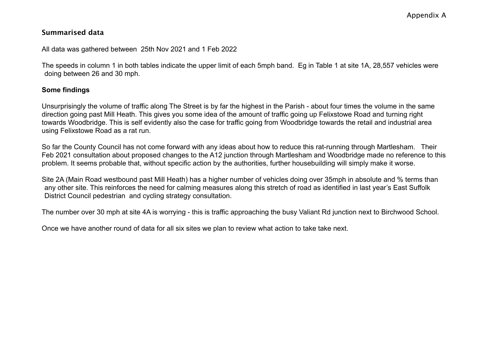# **Summarised data**

#### All data was gathered between 25th Nov 2021 and 1 Feb 2022

The speeds in column 1 in both tables indicate the upper limit of each 5mph band. Eg in Table 1 at site 1A, 28,557 vehicles were doing between 26 and 30 mph.

## **Some findings**

Unsurprisingly the volume of traffic along The Street is by far the highest in the Parish - about four times the volume in the same direction going past Mill Heath. This gives you some idea of the amount of traffic going up Felixstowe Road and turning right towards Woodbridge. This is self evidently also the case for traffic going from Woodbridge towards the retail and industrial area using Felixstowe Road as a rat run.

So far the County Council has not come forward with any ideas about how to reduce this rat-running through Martlesham. Their Feb 2021 consultation about proposed changes to the A12 junction through Martlesham and Woodbridge made no reference to this problem. It seems probable that, without specific action by the authorities, further housebuilding will simply make it worse.

Site 2A (Main Road westbound past Mill Heath) has a higher number of vehicles doing over 35mph in absolute and % terms than any other site. This reinforces the need for calming measures along this stretch of road as identified in last year's East Suffolk District Council pedestrian and cycling strategy consultation.

The number over 30 mph at site 4A is worrying - this is traffic approaching the busy Valiant Rd junction next to Birchwood School.

Once we have another round of data for all six sites we plan to review what action to take take next.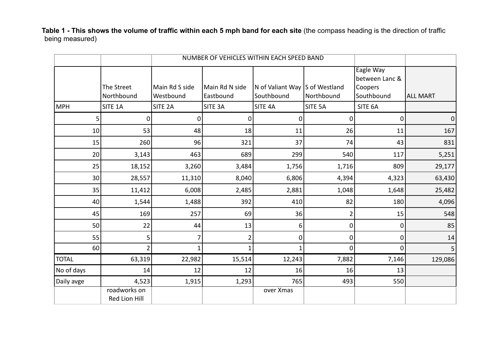**Table 1 - This shows the volume of traffic within each 5 mph band for each site** (the compass heading is the direction of traffic being measured)

|                 |                               | NUMBER OF VEHICLES WITHIN EACH SPEED BAND |                             |                                              |                |                                                      |                 |
|-----------------|-------------------------------|-------------------------------------------|-----------------------------|----------------------------------------------|----------------|------------------------------------------------------|-----------------|
|                 | The Street<br>Northbound      | Main Rd S side<br>Westbound               | Main Rd N side<br>Eastbound | N of Valiant Way S of Westland<br>Southbound | Northbound     | Eagle Way<br>between Lanc &<br>Coopers<br>Southbound | <b>ALL MART</b> |
| MPH             | SITE 1A                       | SITE <sub>2A</sub>                        | SITE 3A                     | SITE 4A                                      | SITE 5A        | SITE 6A                                              |                 |
| 5 <sup>1</sup>  | Ω                             | 0                                         | 0                           | 0                                            | 0              | 0                                                    | $\vert 0 \vert$ |
| 10 <sup>1</sup> | 53                            | 48                                        | 18                          | 11                                           | 26             | 11                                                   | 167             |
| 15              | 260                           | 96                                        | 321                         | 37                                           | 74             | 43                                                   | 831             |
| 20              | 3,143                         | 463                                       | 689                         | 299                                          | 540            | 117                                                  | 5,251           |
| 25              | 18,152                        | 3,260                                     | 3,484                       | 1,756                                        | 1,716          | 809                                                  | 29,177          |
| 30              | 28,557                        | 11,310                                    | 8,040                       | 6,806                                        | 4,394          | 4,323                                                | 63,430          |
| 35              | 11,412                        | 6,008                                     | 2,485                       | 2,881                                        | 1,048          | 1,648                                                | 25,482          |
| 40              | 1,544                         | 1,488                                     | 392                         | 410                                          | 82             | 180                                                  | 4,096           |
| 45              | 169                           | 257                                       | 69                          | 36                                           | $\overline{2}$ | 15                                                   | 548             |
| 50              | 22                            | 44                                        | 13                          | 6                                            | 0              | 0                                                    | 85              |
| 55              | 5                             | 7                                         | $\overline{2}$              | $\overline{0}$                               | 0              | 0                                                    | 14              |
| 60              | $\overline{2}$                | 1                                         | $\mathbf{1}$                | $\mathbf 1$                                  | 0              | $\Omega$                                             | 5 <sup>1</sup>  |
| <b>TOTAL</b>    | 63,319                        | 22,982                                    | 15,514                      | 12,243                                       | 7,882          | 7,146                                                | 129,086         |
| No of days      | 14                            | 12                                        | 12                          | 16                                           | 16             | 13                                                   |                 |
| Daily avge      | 4,523                         | 1,915                                     | 1,293                       | 765                                          | 493            | 550                                                  |                 |
|                 | roadworks on<br>Red Lion Hill |                                           |                             | over Xmas                                    |                |                                                      |                 |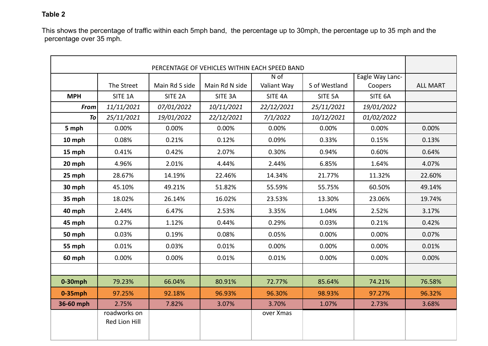## **Table 2**

This shows the percentage of traffic within each 5mph band, the percentage up to 30mph, the percentage up to 35 mph and the percentage over 35 mph.

| PERCENTAGE OF VEHICLES WITHIN EACH SPEED BAND |                               |                    |                |             |               |                 |                 |
|-----------------------------------------------|-------------------------------|--------------------|----------------|-------------|---------------|-----------------|-----------------|
|                                               |                               |                    |                | $N$ of      |               | Eagle Way Lanc- |                 |
|                                               | The Street                    | Main Rd S side     | Main Rd N side | Valiant Way | S of Westland | Coopers         | <b>ALL MART</b> |
| <b>MPH</b>                                    | SITE 1A                       | SITE <sub>2A</sub> | SITE 3A        | SITE 4A     | SITE 5A       | SITE 6A         |                 |
| <b>From</b>                                   | 11/11/2021                    | 07/01/2022         | 10/11/2021     | 22/12/2021  | 25/11/2021    | 19/01/2022      |                 |
| <b>To</b>                                     | 25/11/2021                    | 19/01/2022         | 22/12/2021     | 7/1/2022    | 10/12/2021    | 01/02/2022      |                 |
| 5 mph                                         | 0.00%                         | 0.00%              | 0.00%          | 0.00%       | 0.00%         | 0.00%           | 0.00%           |
| 10 mph                                        | 0.08%                         | 0.21%              | 0.12%          | 0.09%       | 0.33%         | 0.15%           | 0.13%           |
| 15 mph                                        | 0.41%                         | 0.42%              | 2.07%          | 0.30%       | 0.94%         | 0.60%           | 0.64%           |
| 20 mph                                        | 4.96%                         | 2.01%              | 4.44%          | 2.44%       | 6.85%         | 1.64%           | 4.07%           |
| 25 mph                                        | 28.67%                        | 14.19%             | 22.46%         | 14.34%      | 21.77%        | 11.32%          | 22.60%          |
| 30 mph                                        | 45.10%                        | 49.21%             | 51.82%         | 55.59%      | 55.75%        | 60.50%          | 49.14%          |
| 35 mph                                        | 18.02%                        | 26.14%             | 16.02%         | 23.53%      | 13.30%        | 23.06%          | 19.74%          |
| 40 mph                                        | 2.44%                         | 6.47%              | 2.53%          | 3.35%       | 1.04%         | 2.52%           | 3.17%           |
| 45 mph                                        | 0.27%                         | 1.12%              | 0.44%          | 0.29%       | 0.03%         | 0.21%           | 0.42%           |
| 50 mph                                        | 0.03%                         | 0.19%              | 0.08%          | 0.05%       | 0.00%         | 0.00%           | 0.07%           |
| 55 mph                                        | 0.01%                         | 0.03%              | 0.01%          | 0.00%       | 0.00%         | 0.00%           | 0.01%           |
| 60 mph                                        | 0.00%                         | 0.00%              | 0.01%          | 0.01%       | 0.00%         | 0.00%           | 0.00%           |
|                                               |                               |                    |                |             |               |                 |                 |
| $0-30$ mph                                    | 79.23%                        | 66.04%             | 80.91%         | 72.77%      | 85.64%        | 74.21%          | 76.58%          |
| $0-35$ mph                                    | 97.25%                        | 92.18%             | 96.93%         | 96.30%      | 98.93%        | 97.27%          | 96.32%          |
| 36-60 mph                                     | 2.75%                         | 7.82%              | 3.07%          | 3.70%       | 1.07%         | 2.73%           | 3.68%           |
|                                               | roadworks on<br>Red Lion Hill |                    |                | over Xmas   |               |                 |                 |